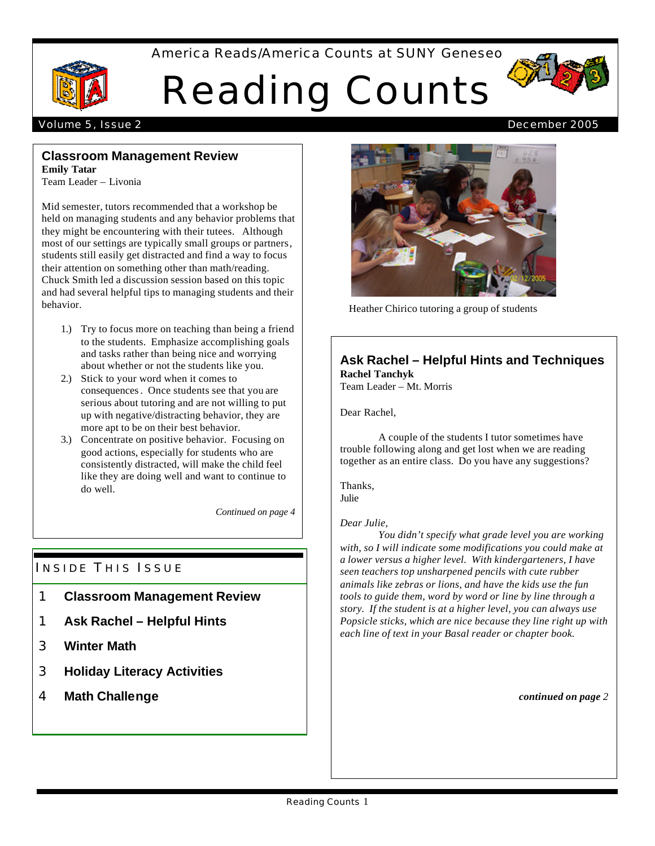# America Reads/America Counts at SUNY Geneseo



# Reading Counts



# **Classroom Management Review**

**Emily Tatar** Team Leader – Livonia

Mid semester, tutors recommended that a workshop be held on managing students and any behavior problems that they might be encountering with their tutees. Although most of our settings are typically small groups or partners, students still easily get distracted and find a way to focus their attention on something other than math/reading. Chuck Smith led a discussion session based on this topic and had several helpful tips to managing students and their behavior.

- 1.) Try to focus more on teaching than being a friend to the students. Emphasize accomplishing goals and tasks rather than being nice and worrying about whether or not the students like you.
- 2.) Stick to your word when it comes to consequences. Once students see that you are serious about tutoring and are not willing to put up with negative/distracting behavior, they are more apt to be on their best behavior.
- 3.) Concentrate on positive behavior. Focusing on good actions, especially for students who are consistently distracted, will make the child feel like they are doing well and want to continue to do well.

*Continued on page 4*

# INSIDE THIS ISSUE

- 1 **Classroom Management Review**
- 1 **Ask Rachel Helpful Hints**
- 3 **Winter Math**
- 3 **Holiday Literacy Activities**
- 4 **Math Challenge**



Heather Chirico tutoring a group of students

# **Ask Rachel – Helpful Hints and Techniques Rachel Tanchyk**

Team Leader – Mt. Morris

Dear Rachel,

A couple of the students I tutor sometimes have trouble following along and get lost when we are reading together as an entire class. Do you have any suggestions?

Thanks, Julie

# *Dear Julie,*

*You didn't specify what grade level you are working with, so I will indicate some modifications you could make at a lower versus a higher level. With kindergarteners, I have seen teachers top unsharpened pencils with cute rubber animals like zebras or lions, and have the kids use the fun tools to guide them, word by word or line by line through a story. If the student is at a higher level, you can always use Popsicle sticks, which are nice because they line right up with each line of text in your Basal reader or chapter book.*

*continued on page 2*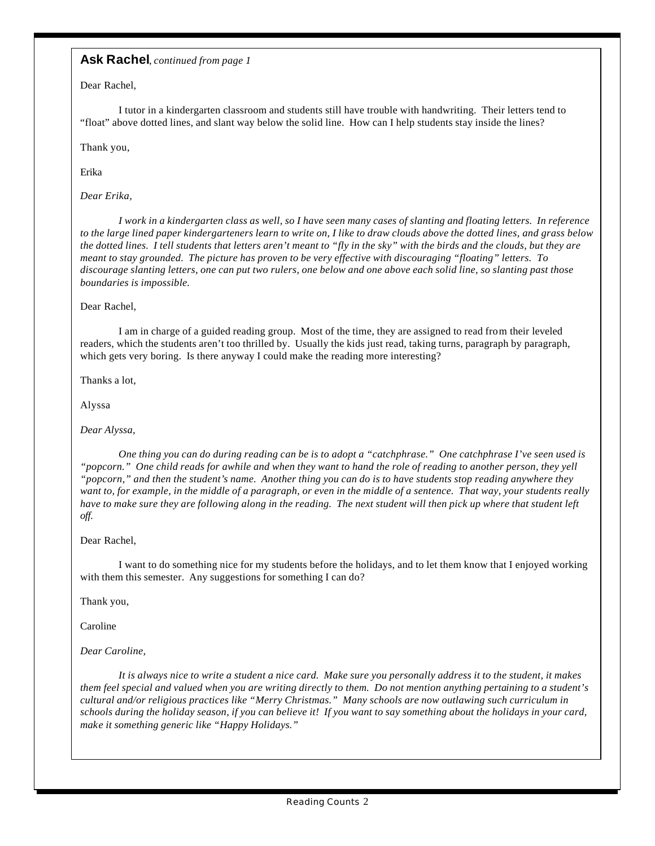## **Ask Rachel**, *continued from page 1*

Dear Rachel,

I tutor in a kindergarten classroom and students still have trouble with handwriting. Their letters tend to "float" above dotted lines, and slant way below the solid line. How can I help students stay inside the lines?

Thank you,

Erika

*Dear Erika,*

*I work in a kindergarten class as well, so I have seen many cases of slanting and floating letters. In reference to the large lined paper kindergarteners learn to write on, I like to draw clouds above the dotted lines, and grass below the dotted lines. I tell students that letters aren't meant to "fly in the sky" with the birds and the clouds, but they are meant to stay grounded. The picture has proven to be very effective with discouraging "floating" letters. To discourage slanting letters, one can put two rulers, one below and one above each solid line, so slanting past those boundaries is impossible.* 

#### Dear Rachel,

I am in charge of a guided reading group. Most of the time, they are assigned to read from their leveled readers, which the students aren't too thrilled by. Usually the kids just read, taking turns, paragraph by paragraph, which gets very boring. Is there anyway I could make the reading more interesting?

Thanks a lot,

Alyssa

#### *Dear Alyssa,*

*One thing you can do during reading can be is to adopt a "catchphrase." One catchphrase I've seen used is "popcorn." One child reads for awhile and when they want to hand the role of reading to another person, they yell "popcorn," and then the student's name. Another thing you can do is to have students stop reading anywhere they want to, for example, in the middle of a paragraph, or even in the middle of a sentence. That way, your students really have to make sure they are following along in the reading. The next student will then pick up where that student left off.*

#### Dear Rachel,

I want to do something nice for my students before the holidays, and to let them know that I enjoyed working with them this semester. Any suggestions for something I can do?

Thank you,

Caroline

*Dear Caroline,*

*It is always nice to write a student a nice card. Make sure you personally address it to the student, it makes them feel special and valued when you are writing directly to them. Do not mention anything pertaining to a student's cultural and/or religious practices like "Merry Christmas." Many schools are now outlawing such curriculum in schools during the holiday season, if you can believe it! If you want to say something about the holidays in your card, make it something generic like "Happy Holidays."*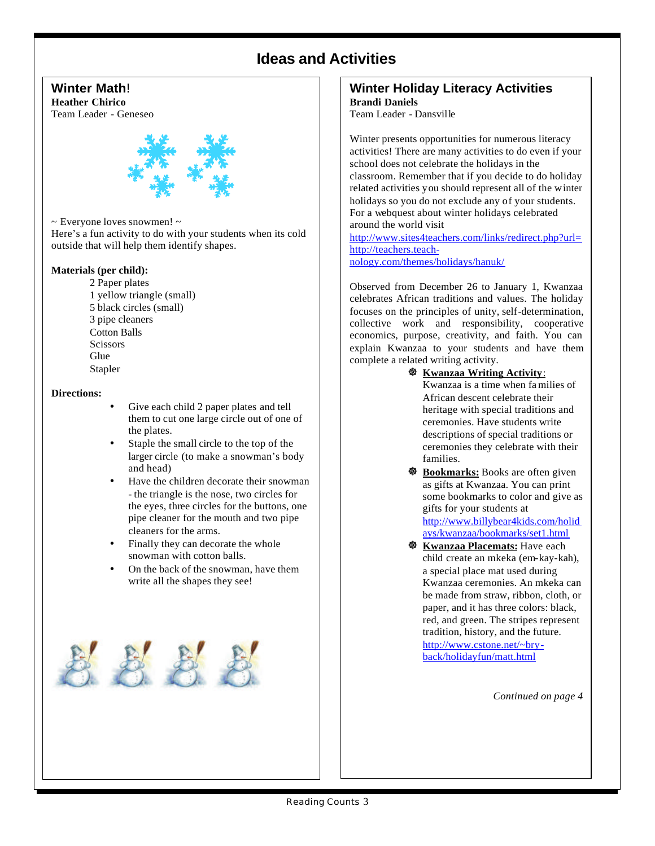# **Ideas and Activities**

# **Winter Math!**

**Heather Chirico** Team Leader - Geneseo



~ Everyone loves snowmen! ~

Here's a fun activity to do with your students when its cold outside that will help them identify shapes.

### **Materials (per child):**

2 Paper plates 1 yellow triangle (small) 5 black circles (small) 3 pipe cleaners Cotton Balls **Scissors Glue** Stapler

#### **Directions:**

- Give each child 2 paper plates and tell them to cut one large circle out of one of the plates.
- Staple the small circle to the top of the larger circle (to make a snowman's body and head)
- Have the children decorate their snowman - the triangle is the nose, two circles for the eyes, three circles for the buttons, one pipe cleaner for the mouth and two pipe cleaners for the arms.
- Finally they can decorate the whole snowman with cotton balls.
- On the back of the snowman, have them write all the shapes they see!



#### **Winter Holiday Literacy Activities Brandi Daniels**

Team Leader - Dansville

Winter presents opportunities for numerous literacy activities! There are many activities to do even if your school does not celebrate the holidays in the classroom. Remember that if you decide to do holiday related activities you should represent all of the winter holidays so you do not exclude any of your students. For a webquest about winter holidays celebrated around the world visit

http://www.sites4teachers.com/links/redirect.php?url= http://teachers.teachnology.com/themes/holidays/hanuk/

Observed from December 26 to January 1, Kwanzaa celebrates African traditions and values. The holiday focuses on the principles of unity, self-determination, collective work and responsibility, cooperative economics, purpose, creativity, and faith. You can explain Kwanzaa to your students and have them complete a related writing activity.

] **Kwanzaa Writing Activity**:

Kwanzaa is a time when fa milies of African descent celebrate their heritage with special traditions and ceremonies. Have students write descriptions of special traditions or ceremonies they celebrate with their families.

- $\ddot{\mathbf{\otimes}}$  **Bookmarks:** Books are often given as gifts at Kwanzaa. You can print some bookmarks to color and give as gifts for your students at http://www.billybear4kids.com/holid ays/kwanzaa/bookmarks/set1.html
- ] **Kwanzaa Placemats:** Have each child create an mkeka (em-kay-kah), a special place mat used during Kwanzaa ceremonies. An mkeka can be made from straw, ribbon, cloth, or paper, and it has three colors: black, red, and green. The stripes represent tradition, history, and the future. http://www.cstone.net/~bryback/holidayfun/matt.html

*Continued on page 4*